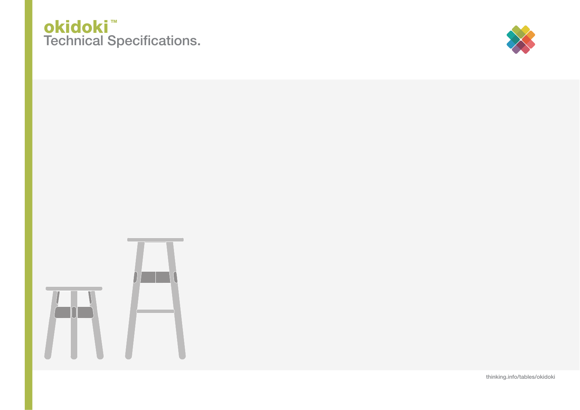## Technical Specifications. <u>okidoki</u>™



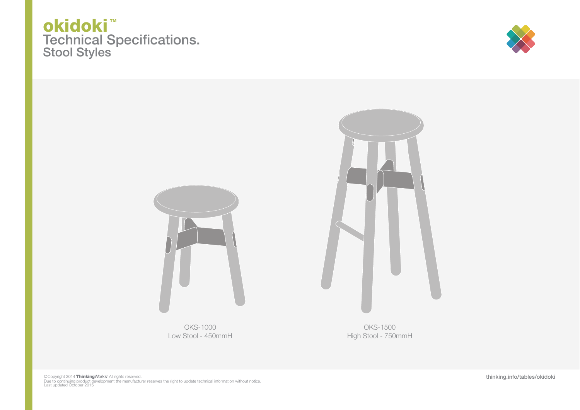





OKS-1000 Low Stool - 450mmH

High Stool - 750mmH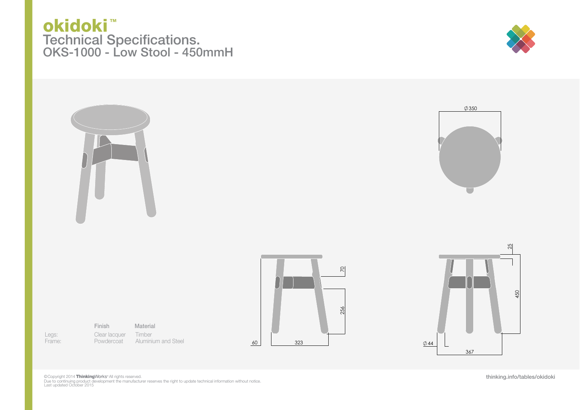## Technical Specifications. okidoki<sup>™</sup> OKS-1000 - Low Stool - 450mmH

Legs: Frame: Finish

Clear lacquer Powdercoat Timber **Material** 









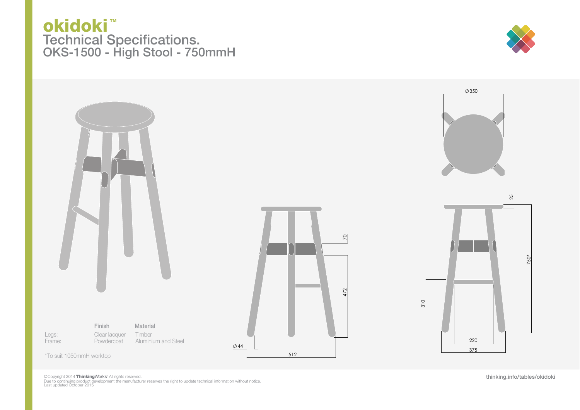## Technical Specifications. okidoki<sup>™</sup> OKS-1500 - High Stool - 750mmH





©Copyright 2014 **ThinkingWor**ks~All rights reserved.<br>Due to continuing product development the manufacturer reserves the right to update technical information without notice.<br>Last updated October 2015